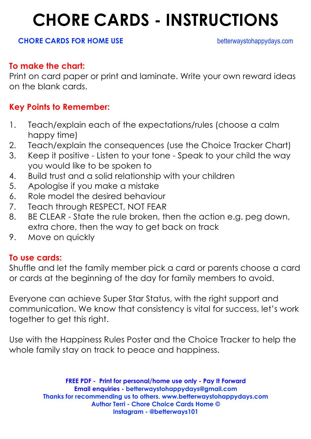## **CHORE CARDS - INSTRUCTIONS**

#### **CHORE CARDS FOR HOME USE betterwaystohappydays.com**

#### **To make the chart:**

Print on card paper or print and laminate. Write your own reward ideas on the blank cards.

#### **Key Points to Remember:**

- 1. Teach/explain each of the expectations/rules (choose a calm happy time)
- 2. Teach/explain the consequences (use the Choice Tracker Chart)
- 3. Keep it positive Listen to your tone Speak to your child the way you would like to be spoken to
- 4. Build trust and a solid relationship with your children
- 5. Apologise if you make a mistake
- 6. Role model the desired behaviour
- 7. Teach through RESPECT, NOT FEAR
- 8. BE CLEAR State the rule broken, then the action e.g. peg down, extra chore, then the way to get back on track
- 9. Move on quickly

#### **To use cards:**

Shuffle and let the family member pick a card or parents choose a card or cards at the beginning of the day for family members to avoid.

Everyone can achieve Super Star Status, with the right support and communication. We know that consistency is vital for success, let's work together to get this right.

Use with the Happiness Rules Poster and the Choice Tracker to help the whole family stay on track to peace and happiness.

> **FREE PDF - Print for personal/home use only - Pay It Forward Email enquiries - betterwaystohappydays@gmail.com Thanks for recommending us to others. www.betterwaystohappydays.com Author Terri - Chore Choice Cards Home © Instagram - @betterways101**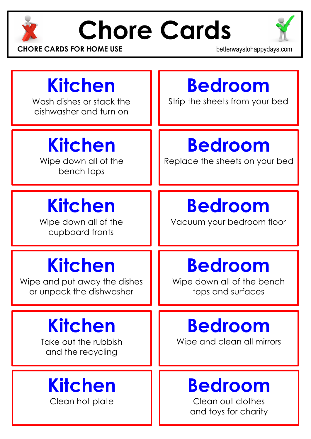

# **Chore Cards**



**CHORE CARDS FOR HOME USE betterwaystohappydays.com** 

### **Kitchen** Wash dishes or stack the dishwasher and turn on **Bedroom** Strip the sheets from your bed **Kitchen** Wipe down all of the bench tops **Bedroom** Replace the sheets on your bed **Kitchen** Wipe down all of the cupboard fronts **Bedroom** Vacuum your bedroom floor **Kitchen** Wipe and put away the dishes or unpack the dishwasher **Bedroom** Wipe down all of the bench tops and surfaces **Kitchen** Take out the rubbish and the recycling **Bedroom** Wipe and clean all mirrors **Kitchen** Clean hot plate **Bedroom** Clean out clothes and toys for charity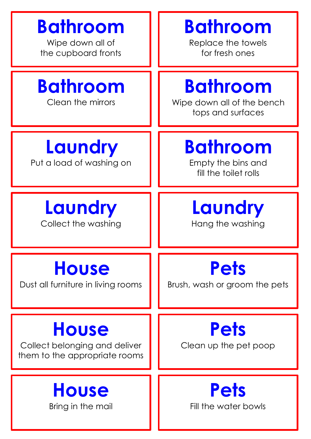| <b>Bathroom</b>                                                                | <b>Bathroom</b>                                                    |
|--------------------------------------------------------------------------------|--------------------------------------------------------------------|
| Wipe down all of                                                               | Replace the towels                                                 |
| the cupboard fronts                                                            | for fresh ones                                                     |
| <b>Bathroom</b><br>Clean the mirrors                                           | <b>Bathroom</b><br>Wipe down all of the bench<br>tops and surfaces |
| Laundry<br>Put a load of washing on                                            | <b>Bathroom</b><br>Empty the bins and<br>fill the toilet rolls     |
| Laundry                                                                        | Laundry                                                            |
| Collect the washing                                                            | Hang the washing                                                   |
| <b>House</b>                                                                   | <b>Pets</b>                                                        |
| Dust all furniture in living rooms                                             | Brush, wash or groom the pets                                      |
| <b>House</b><br>Collect belonging and deliver<br>them to the appropriate rooms | <b>Pets</b><br>Clean up the pet poop                               |
| <b>House</b>                                                                   | <b>Pets</b>                                                        |
| Bring in the mail                                                              | Fill the water bowls                                               |